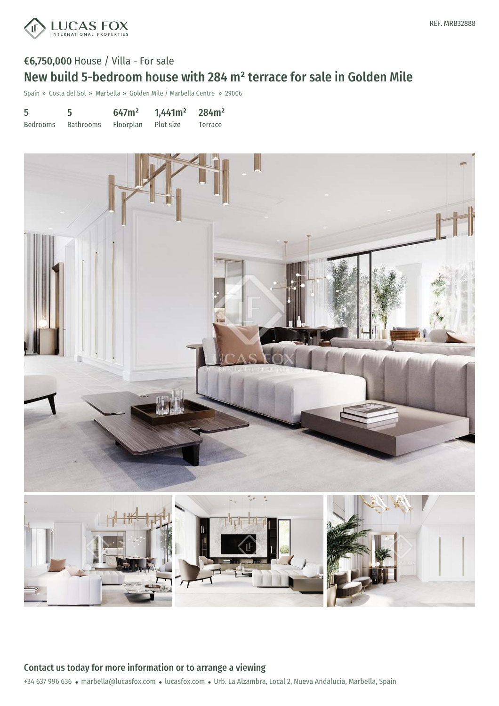

## €6,750,000 House / Villa - For sale

# New build 5-bedroom house with 284 m² terrace for sale in Golden Mile

Spain » Costa del Sol » Marbella » Golden Mile / Marbella Centre » 29006

| 5        | 5         | 647m <sup>2</sup>   | $1,441m^2$ 284m <sup>2</sup> |         |
|----------|-----------|---------------------|------------------------------|---------|
| Bedrooms | Bathrooms | Floorplan Plot size |                              | Terrace |



+34 637 996 636 · marbella@lucasfox.com · lucasfox.com · Urb. La Alzambra, Local 2, Nueva Andalucia, Marbella, Spain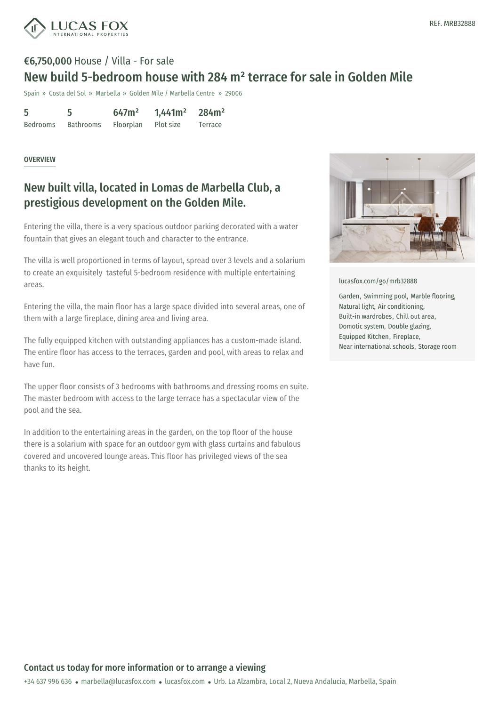

### €6,750,000 House / Villa - For sale New build 5-bedroom house with 284 m² terrace for sale in Golden Mile

Spain » Costa del Sol » Marbella » Golden Mile / Marbella Centre » 29006

5 Bedrooms 5 Bathrooms 647m² Floorplan 1,441m² Plot size 284m² Terrace

#### OVERVIEW

### New built villa, located in Lomas de Marbella Club, a prestigious development on the Golden Mile.

Entering the villa, there is a very spacious outdoor parking decorated with a water fountain that gives an elegant touch and character to the entrance.

The villa is well proportioned in terms of layout, spread over 3 levels and a solarium to create an exquisitely tasteful 5-bedroom residence with multiple entertaining areas.

Entering the villa, the main floor has a large space divided into several areas, one of them with a large fireplace, dining area and living area.

The fully equipped kitchen with outstanding appliances has a custom-made island. The entire floor has access to the terraces, garden and pool, with areas to relax and have fun.

The upper floor consists of 3 bedrooms with bathrooms and dressing rooms en suite. The master bedroom with access to the large terrace has a spectacular view of the pool and the sea.

In addition to the entertaining areas in the garden, on the top floor of the house there is a solarium with space for an outdoor gym with glass curtains and fabulous covered and uncovered lounge areas. This floor has privileged views of the sea thanks to its height.



[lucasfox.com/go/mrb32888](https://www.lucasfox.com/go/mrb32888)

Garden, Swimming pool, Marble flooring, Natural light, Air conditioning, Built-in wardrobes, Chill out area, Domotic system, Double glazing, Equipped Kitchen, Fireplace, Near international schools, Storage room